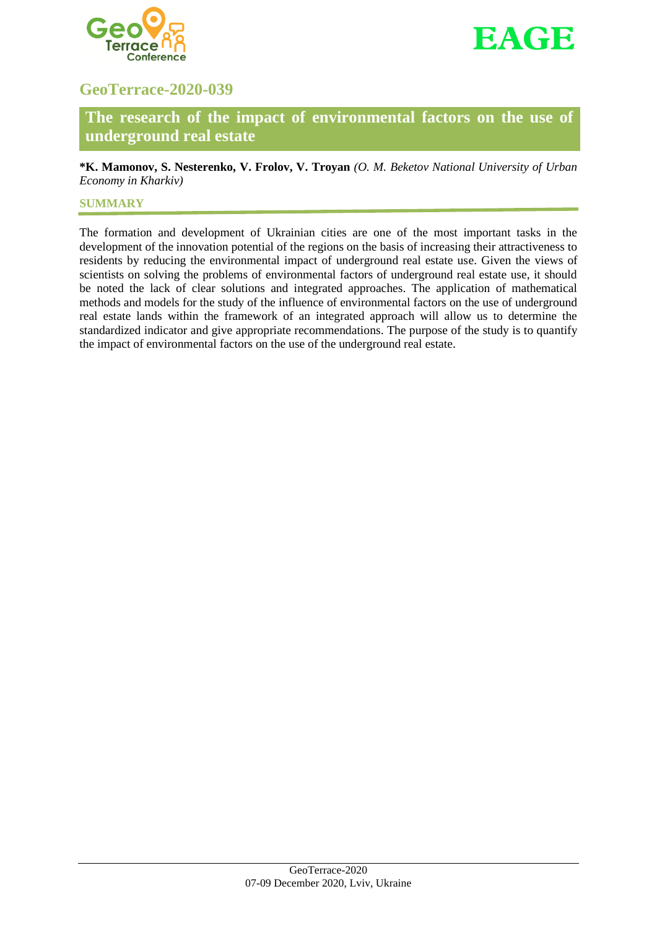



# **GeoTerrace-2020-039**

**The research of the impact of environmental factors on the use of underground real estate**

**\*K. Mamonov, S. Nesterenko, V. Frolov, V. Troyan** *(O. M. Beketov National University of Urban Economy in Kharkiv)*

## **SUMMARY**

The formation and development of Ukrainian cities are one of the most important tasks in the development of the innovation potential of the regions on the basis of increasing their attractiveness to residents by reducing the environmental impact of underground real estate use. Given the views of scientists on solving the problems of environmental factors of underground real estate use, it should be noted the lack of clear solutions and integrated approaches. The application of mathematical methods and models for the study of the influence of environmental factors on the use of underground real estate lands within the framework of an integrated approach will allow us to determine the standardized indicator and give appropriate recommendations. The purpose of the study is to quantify the impact of environmental factors on the use of the underground real estate.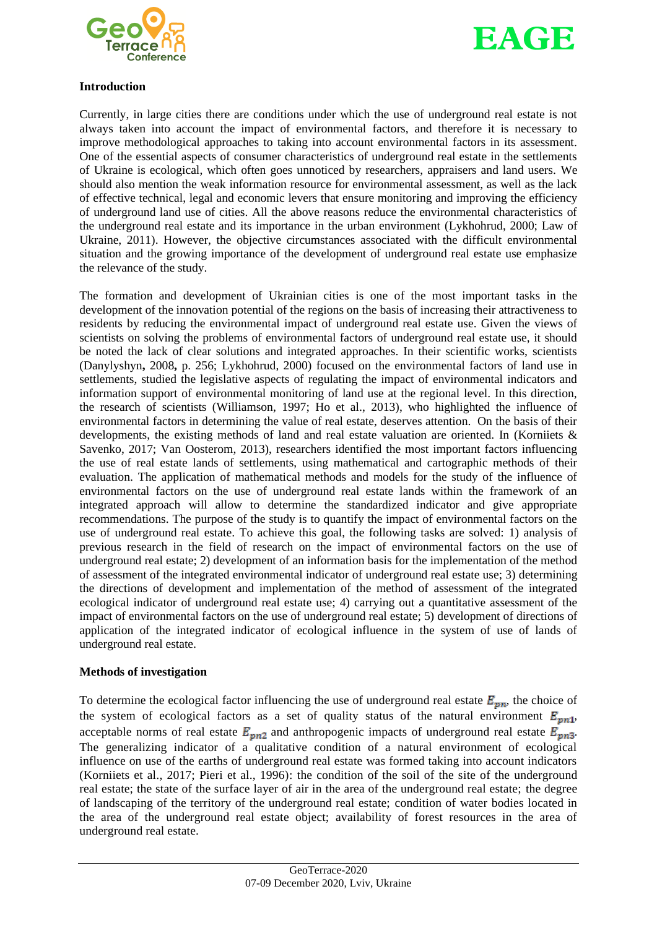



### **Introduction**

Currently, in large cities there are conditions under which the use of underground real estate is not always taken into account the impact of environmental factors, and therefore it is necessary to improve methodological approaches to taking into account environmental factors in its assessment. One of the essential aspects of consumer characteristics of underground real estate in the settlements of Ukraine is ecological, which often goes unnoticed by researchers, appraisers and land users. We should also mention the weak information resource for environmental assessment, as well as the lack of effective technical, legal and economic levers that ensure monitoring and improving the efficiency of underground land use of cities. All the above reasons reduce the environmental characteristics of the underground real estate and its importance in the urban environment (Lykhohrud, 2000; Law of Ukraine, 2011). However, the objective circumstances associated with the difficult environmental situation and the growing importance of the development of underground real estate use emphasize the relevance of the study.

The formation and development of Ukrainian cities is one of the most important tasks in the development of the innovation potential of the regions on the basis of increasing their attractiveness to residents by reducing the environmental impact of underground real estate use. Given the views of scientists on solving the problems of environmental factors of underground real estate use, it should be noted the lack of clear solutions and integrated approaches. In their scientific works, scientists (Danylyshyn**,** 2008**,** p. 256; Lykhohrud, 2000) focused on the environmental factors of land use in settlements, studied the legislative aspects of regulating the impact of environmental indicators and information support of environmental monitoring of land use at the regional level. In this direction, the research of scientists (Williamson, 1997; Ho et al., 2013), who highlighted the influence of environmental factors in determining the value of real estate, deserves attention. On the basis of their developments, the existing methods of land and real estate valuation are oriented. In (Korniiets  $\&$ Savenko, 2017; Van Oosterom, 2013), researchers identified the most important factors influencing the use of real estate lands of settlements, using mathematical and cartographic methods of their evaluation. The application of mathematical methods and models for the study of the influence of environmental factors on the use of underground real estate lands within the framework of an integrated approach will allow to determine the standardized indicator and give appropriate recommendations. The purpose of the study is to quantify the impact of environmental factors on the use of underground real estate. To achieve this goal, the following tasks are solved: 1) analysis of previous research in the field of research on the impact of environmental factors on the use of underground real estate; 2) development of an information basis for the implementation of the method of assessment of the integrated environmental indicator of underground real estate use; 3) determining the directions of development and implementation of the method of assessment of the integrated ecological indicator of underground real estate use; 4) carrying out a quantitative assessment of the impact of environmental factors on the use of underground real estate; 5) development of directions of application of the integrated indicator of ecological influence in the system of use of lands of underground real estate.

## **Methods of investigation**

To determine the ecological factor influencing the use of underground real estate  $E_{pn}$ , the choice of the system of ecological factors as a set of quality status of the natural environment  $E_{pn1}$ , acceptable norms of real estate  $E_{pn2}$  and anthropogenic impacts of underground real estate  $E_{pn3}$ . The generalizing indicator of a qualitative condition of a natural environment of ecological influence on use of the earths of underground real estate was formed taking into account indicators (Korniiets et al., 2017; Pieri et al., 1996): the condition of the soil of the site of the underground real estate; the state of the surface layer of air in the area of the underground real estate; the degree of landscaping of the territory of the underground real estate; condition of water bodies located in the area of the underground real estate object; availability of forest resources in the area of underground real estate.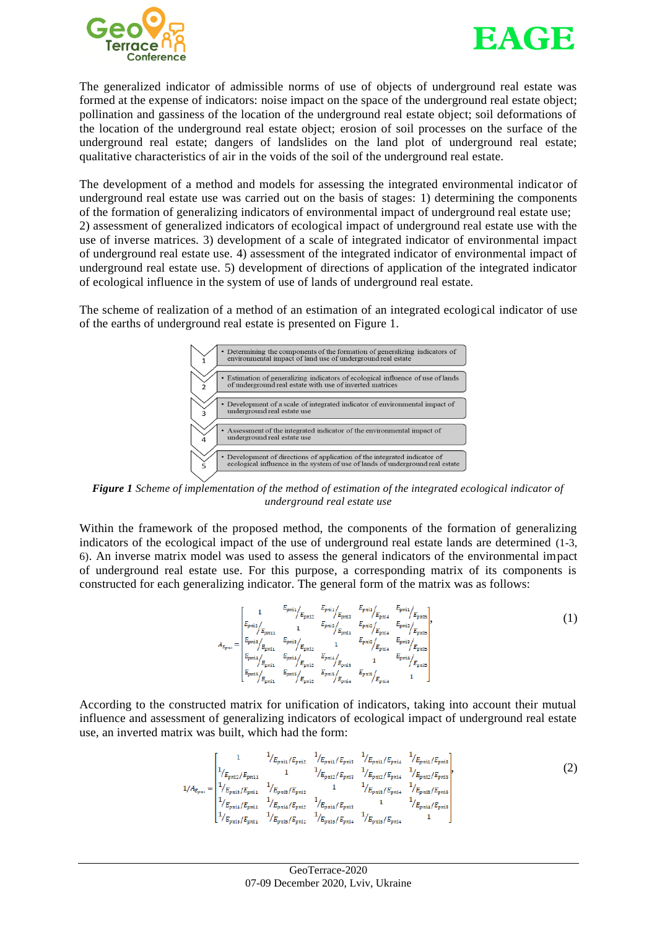



The generalized indicator of admissible norms of use of objects of underground real estate was formed at the expense of indicators: noise impact on the space of the underground real estate object; pollination and gassiness of the location of the underground real estate object; soil deformations of the location of the underground real estate object; erosion of soil processes on the surface of the underground real estate; dangers of landslides on the land plot of underground real estate; qualitative characteristics of air in the voids of the soil of the underground real estate.

The development of a method and models for assessing the integrated environmental indicator of underground real estate use was carried out on the basis of stages: 1) determining the components of the formation of generalizing indicators of environmental impact of underground real estate use; 2) assessment of generalized indicators of ecological impact of underground real estate use with the use of inverse matrices. 3) development of a scale of integrated indicator of environmental impact of underground real estate use. 4) assessment of the integrated indicator of environmental impact of underground real estate use. 5) development of directions of application of the integrated indicator of ecological influence in the system of use of lands of underground real estate.

The scheme of realization of a method of an estimation of an integrated ecological indicator of use of the earths of underground real estate is presented on Figure 1.



*Figure 1 Scheme of implementation of the method of estimation of the integrated ecological indicator of underground real estate use*

Within the framework of the proposed method, the components of the formation of generalizing indicators of the ecological impact of the use of underground real estate lands are determined (1-3, 6). An inverse matrix model was used to assess the general indicators of the environmental impact of underground real estate use. For this purpose, a corresponding matrix of its components is constructed for each generalizing indicator. The general form of the matrix was as follows:

$$
A_{E_{pmi}} = \begin{bmatrix} 1 & E_{pmi} / E_{pmi} & E_{pmi} / E_{pmi} & E_{pmi} / E_{pmi} \\ E_{pmi} / E_{pmi} & 1 & E_{pmi} / E_{pmi} & E_{pmi} / E_{pmi} \\ E_{pmi} / E_{pmi} & 1 & E_{pmi} / E_{pmi} & E_{pmi} / E_{pmi} \\ E_{pmi} / E_{pmi} & E_{pmi} / E_{pmi} & E_{pmi} / E_{pmi} & E_{pmi} / E_{pmi} \\ E_{pmi} / E_{pmi} & E_{pmi} / E_{pmi} & E_{pmi} / E_{pmi} & 1 & E_{pmi} / E_{pmi} \\ E_{pmi} / E_{pmi} & E_{pmi} / E_{pmi} & E_{pmi} / E_{pmi} & 1 & E_{pmi} / E_{pmi} \\ E_{pmi} / E_{pmi} & E_{pmi} / E_{pmi} & E_{pmi} / E_{pmi} & 1 & \end{bmatrix},
$$

According to the constructed matrix for unification of indicators, taking into account their mutual influence and assessment of generalizing indicators of ecological impact of underground real estate use, an inverted matrix was built, which had the form:

$$
1/A_{E_{pni}} = \begin{bmatrix} 1 & 1/(E_{pni1}/E_{pni2} & 1/(E_{pni1}/E_{pni3} & 1/(E_{pni1}/E_{pni4} & 1/(E_{pni1}/E_{pni5}) \\ 1/(E_{pni2}/E_{pni11} & 1 & 1/(E_{pni2}/E_{pni2} & 1/(E_{pni2}/E_{pni4} & 1/(E_{pni2}/E_{pni5}) \\ 1/(E_{pni1}/E_{pni1} & 1/(E_{pni12}/E_{pni2} & 1 & 1/(E_{pni2}/E_{pni5} & 1/(E_{pni4}/E_{pni5}) \\ 1/(E_{pni4}/E_{pni1} & 1/(E_{pni4}/E_{pni2} & 1/(E_{pni4}/E_{pni3} & 1/(E_{pni5}/E_{pni5} & 1/(E_{pni5}/E_{pni5} & 1/(E_{pni5}/E_{pni6} & 1/(E_{pni5}/E_{pni6} & 1/(E_{pni5}/E_{pni6} & 1/(E_{pni5}/E_{pni7} & 1/(E_{pni5}/E_{pni6} & 1/(E_{pni5}/E_{pni7} & 1/(E_{pni6}/E_{pni7} & 1/(E_{pni6}/E_{pni8} & 1/(E_{pni7}/E_{pni8} & 1/(E_{pni6}/E_{pni8} & 1/(E_{pni7}/E_{pni8} & 1/(E_{pni8}/E_{pni8} & 1/(E_{pni8}/E_{pni8} & 1/(E_{pni9}/E_{pni8} & 1/(E_{pni9}/E_{pni8} & 1/(E_{pni9}/E_{pni8} & 1/(E_{pni9}/E_{pni8} & 1/(E_{pni9}/E_{pni9} & 1/(E_{pni9}/E_{pni9} & 1/(E_{pni9}/E_{pni8} & 1/(E_{pni9}/E_{pni8} & 1/(E_{pni9}/E_{pni8} & 1/(E_{pni9}/E_{pni8} & 1/(E_{pni9}/E_{pni8} & 1/(E_{pni9}/E_{pni9} & 1/(E_{pni9}/E_{pni9} & 1/(E_{pni9}/E_{pni9} & 1/(E_{pni9}/E_{pni9} & 1/(E_{pni9}/E_{pni
$$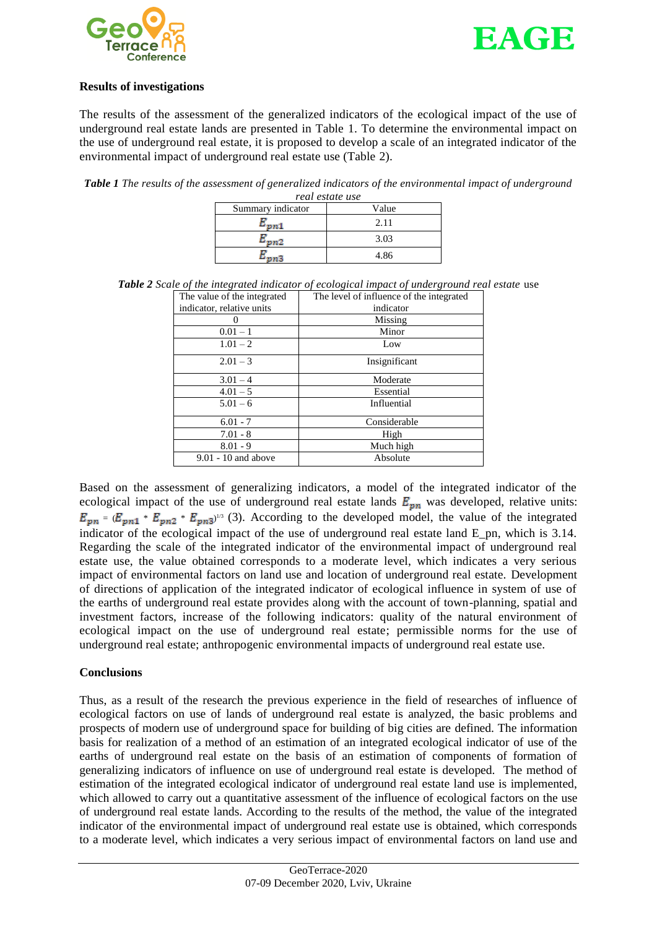



### **Results of investigations**

The results of the assessment of the generalized indicators of the ecological impact of the use of underground real estate lands are presented in Table 1. To determine the environmental impact on the use of underground real estate, it is proposed to develop a scale of an integrated indicator of the environmental impact of underground real estate use (Table 2).

*Table 1 The results of the assessment of generalized indicators of the environmental impact of underground* 

| real estate use   |       |
|-------------------|-------|
| Summary indicator | Value |
|                   | 2.11  |
|                   | 3.03  |
|                   | 4.86  |

| $\cdots$                    |                                          |
|-----------------------------|------------------------------------------|
| The value of the integrated | The level of influence of the integrated |
| indicator, relative units   | indicator                                |
|                             | Missing                                  |
| $0.01 - 1$                  | Minor                                    |
| $1.01 - 2$                  | Low                                      |
| $2.01 - 3$                  | Insignificant                            |
| $3.01 - 4$                  | Moderate                                 |
| $4.01 - 5$                  | Essential                                |
| $5.01 - 6$                  | Influential                              |
| $6.01 - 7$                  | Considerable                             |
| $7.01 - 8$                  | High                                     |
| $8.01 - 9$                  | Much high                                |
| $9.01 - 10$ and above       | Absolute                                 |
|                             |                                          |

*Table 2 Scale of the integrated indicator of ecological impact of underground real estate* use

Based on the assessment of generalizing indicators, a model of the integrated indicator of the ecological impact of the use of underground real estate lands  $E_{pn}$  was developed, relative units:  $=(E_{\nu n1} * E_{\nu n2} * E_{\nu n3})^{1/3}$  (3). According to the developed model, the value of the integrated indicator of the ecological impact of the use of underground real estate land E\_pn, which is 3.14. Regarding the scale of the integrated indicator of the environmental impact of underground real estate use, the value obtained corresponds to a moderate level, which indicates a very serious impact of environmental factors on land use and location of underground real estate. Development of directions of application of the integrated indicator of ecological influence in system of use of the earths of underground real estate provides along with the account of town-planning, spatial and investment factors, increase of the following indicators: quality of the natural environment of ecological impact on the use of underground real estate; permissible norms for the use of underground real estate; anthropogenic environmental impacts of underground real estate use.

## **Conclusions**

Thus, as a result of the research the previous experience in the field of researches of influence of ecological factors on use of lands of underground real estate is analyzed, the basic problems and prospects of modern use of underground space for building of big cities are defined. The information basis for realization of a method of an estimation of an integrated ecological indicator of use of the earths of underground real estate on the basis of an estimation of components of formation of generalizing indicators of influence on use of underground real estate is developed. The method of estimation of the integrated ecological indicator of underground real estate land use is implemented, which allowed to carry out a quantitative assessment of the influence of ecological factors on the use of underground real estate lands. According to the results of the method, the value of the integrated indicator of the environmental impact of underground real estate use is obtained, which corresponds to a moderate level, which indicates a very serious impact of environmental factors on land use and